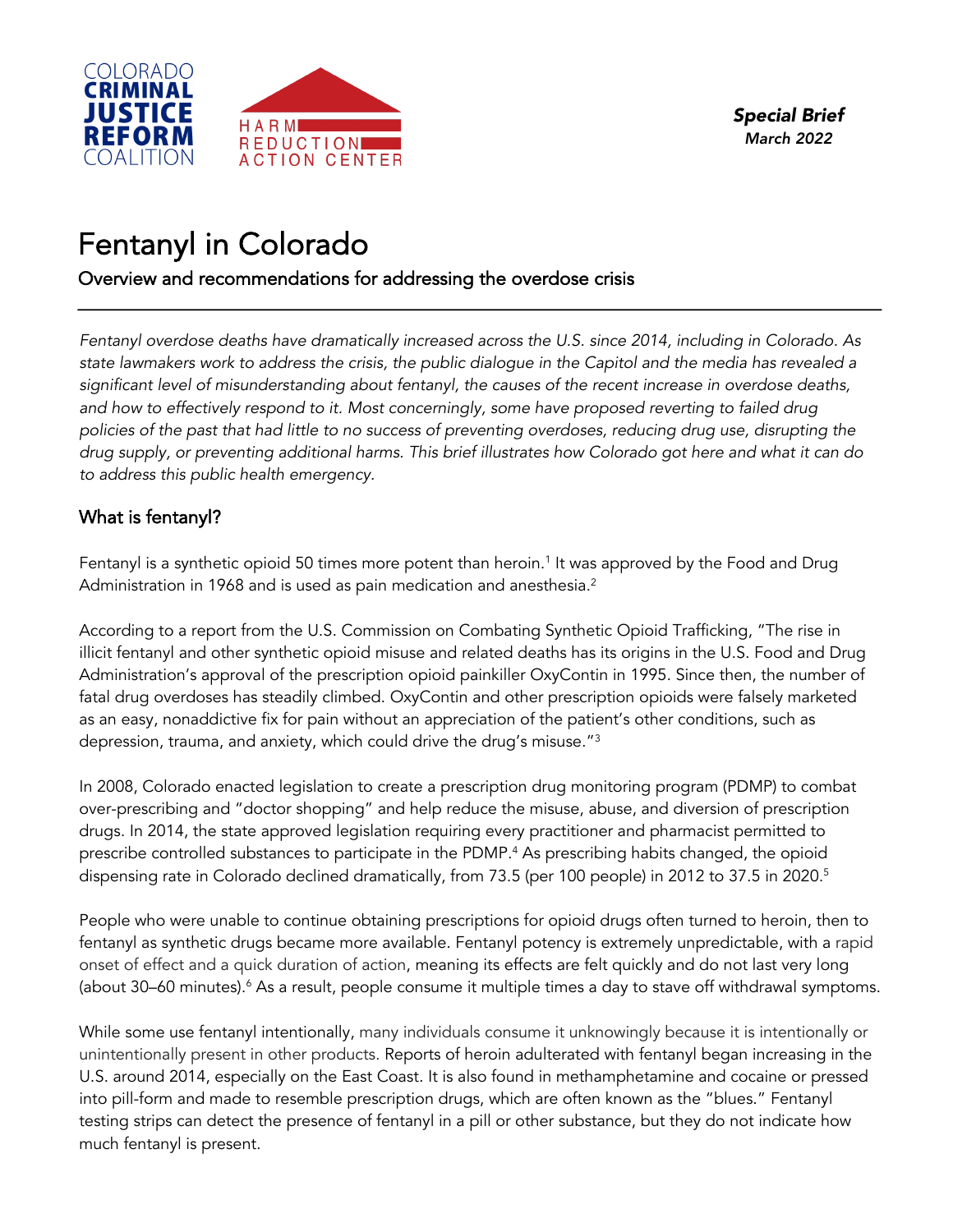

# Fentanyl in Colorado<br>Overview and recommendations for addressing the overdose crisis

*Fentanyl overdose deaths have dramatically increased across the U.S. since 2014, including in Colorado. As state lawmakers work to address the crisis, the public dialogue in the Capitol and the media has revealed a significant level of misunderstanding about fentanyl, the causes of the recent increase in overdose deaths, and how to effectively respond to it. Most concerningly, some have proposed reverting to failed drug policies of the past that had little to no success of preventing overdoses, reducing drug use, disrupting the drug supply, or preventing additional harms. This brief illustrates how Colorado got here and what it can do to address this public health emergency.* 

# What is fentanyl?

Fentanyl is a synthetic opioid 50 times more potent than heroin. <sup>1</sup> It was approved by the Food and Drug Administration in 1968 and is used as pain medication and anesthesia.<sup>2</sup>

According to a report from the U.S. Commission on Combating Synthetic Opioid Trafficking, "The rise in illicit fentanyl and other synthetic opioid misuse and related deaths has its origins in the U.S. Food and Drug Administration's approval of the prescription opioid painkiller OxyContin in 1995. Since then, the number of fatal drug overdoses has steadily climbed. OxyContin and other prescription opioids were falsely marketed as an easy, nonaddictive fix for pain without an appreciation of the patient's other conditions, such as depression, trauma, and anxiety, which could drive the drug's misuse."3

In 2008, Colorado enacted legislation to create a prescription drug monitoring program (PDMP) to combat over-prescribing and "doctor shopping" and help reduce the misuse, abuse, and diversion of prescription drugs. In 2014, the state approved legislation requiring every practitioner and pharmacist permitted to prescribe controlled substances to participate in the PDMP.<sup>4</sup> As prescribing habits changed, the opioid dispensing rate in Colorado declined dramatically, from 73.5 (per 100 people) in 2012 to 37.5 in 2020. 5

People who were unable to continue obtaining prescriptions for opioid drugs often turned to heroin, then to fentanyl as synthetic drugs became more available. Fentanyl potency is extremely unpredictable, with a rapid onset of effect and a quick duration of action, meaning its effects are felt quickly and do not last very long (about 30–60 minutes).<sup>6</sup> As a result, people consume it multiple times a day to stave off withdrawal symptoms.

While some use fentanyl intentionally, many individuals consume it unknowingly because it is intentionally or unintentionally present in other products. Reports of heroin adulterated with fentanyl began increasing in the U.S. around 2014, especially on the East Coast. It is also found in methamphetamine and cocaine or pressed into pill-form and made to resemble prescription drugs, which are often known as the "blues." Fentanyl testing strips can detect the presence of fentanyl in a pill or other substance, but they do not indicate how much fentanyl is present.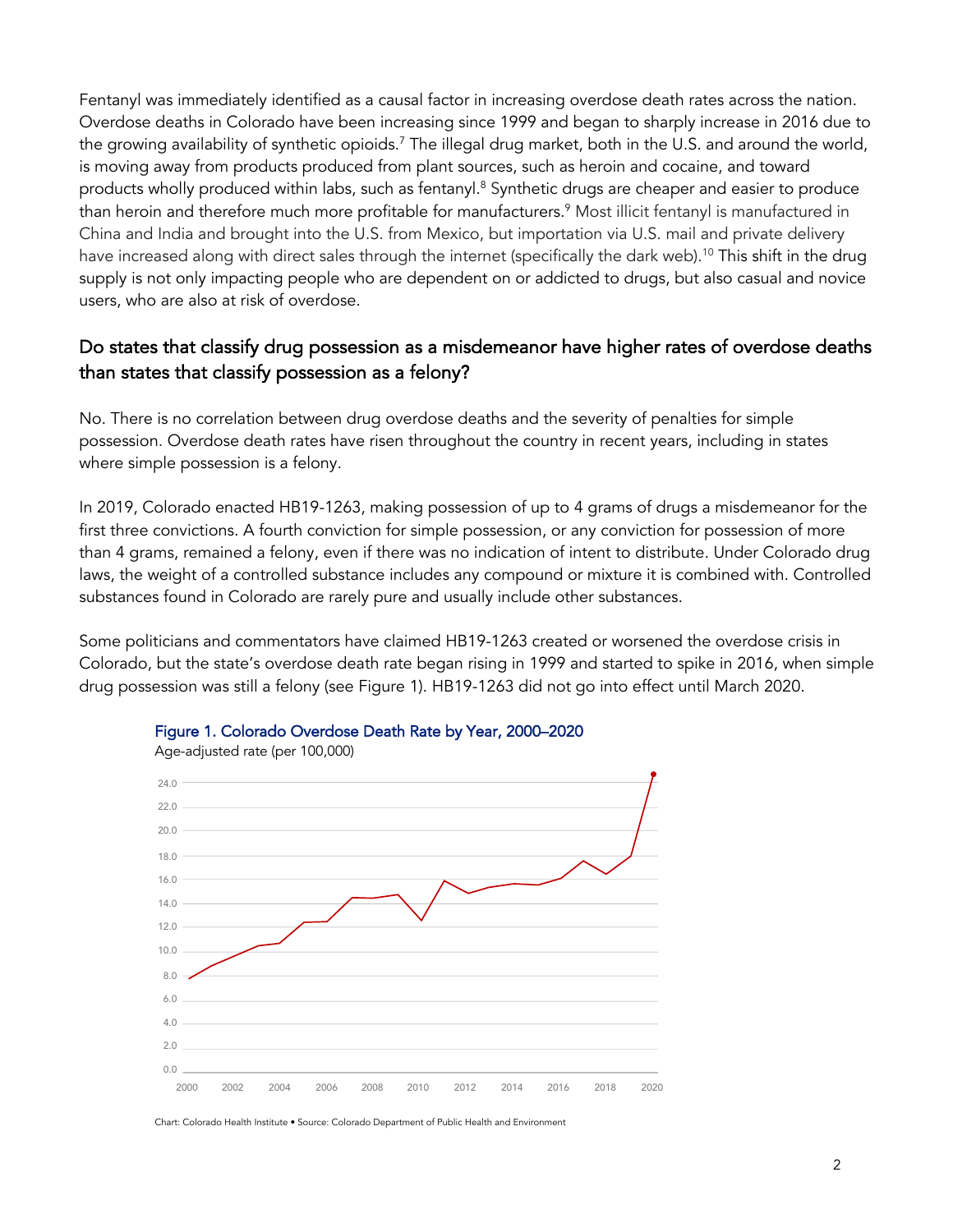Fentanyl was immediately identified as a causal factor in increasing overdose death rates across the nation. Overdose deaths in Colorado have been increasing since 1999 and began to sharply increase in 2016 due to the growing availability of synthetic opioids.<sup>7</sup> The illegal drug market, both in the U.S. and around the world, is moving away from products produced from plant sources, such as heroin and cocaine, and toward products wholly produced within labs, such as fentanyl. <sup>8</sup> Synthetic drugs are cheaper and easier to produce than heroin and therefore much more profitable for manufacturers.<sup>9</sup> Most illicit fentanyl is manufactured in China and India and brought into the U.S. from Mexico, but importation via U.S. mail and private delivery have increased along with direct sales through the internet (specifically the dark web). <sup>10</sup> This shift in the drug supply is not only impacting people who are dependent on or addicted to drugs, but also casual and novice users, who are also at risk of overdose.

#### Do states that classify drug possession as a misdemeanor have higher rates of overdose deaths than states that classify possession as a felony?

No. There is no correlation between drug overdose deaths and the severity of penalties for simple possession. Overdose death rates have risen throughout the country in recent years, including in states where simple possession is a felony.

In 2019, Colorado enacted HB19-1263, making possession of up to 4 grams of drugs a misdemeanor for the first three convictions. A fourth conviction for simple possession, or any conviction for possession of more than 4 grams, remained a felony, even if there was no indication of intent to distribute. Under Colorado drug laws, the weight of a controlled substance includes any compound or mixture it is combined with. Controlled substances found in Colorado are rarely pure and usually include other substances.

Some politicians and commentators have claimed HB19-1263 created or worsened the overdose crisis in Colorado, but the state's overdose death rate began rising in 1999 and started to spike in 2016, when simple drug possession was still a felony (see Figure 1). HB19-1263 did not go into effect until March 2020.



#### Figure 1. Colorado Overdose Death Rate by Year, 2000–2020

Chart: Colorado Health Institute • Source: Colorado Department of Public Health and Environment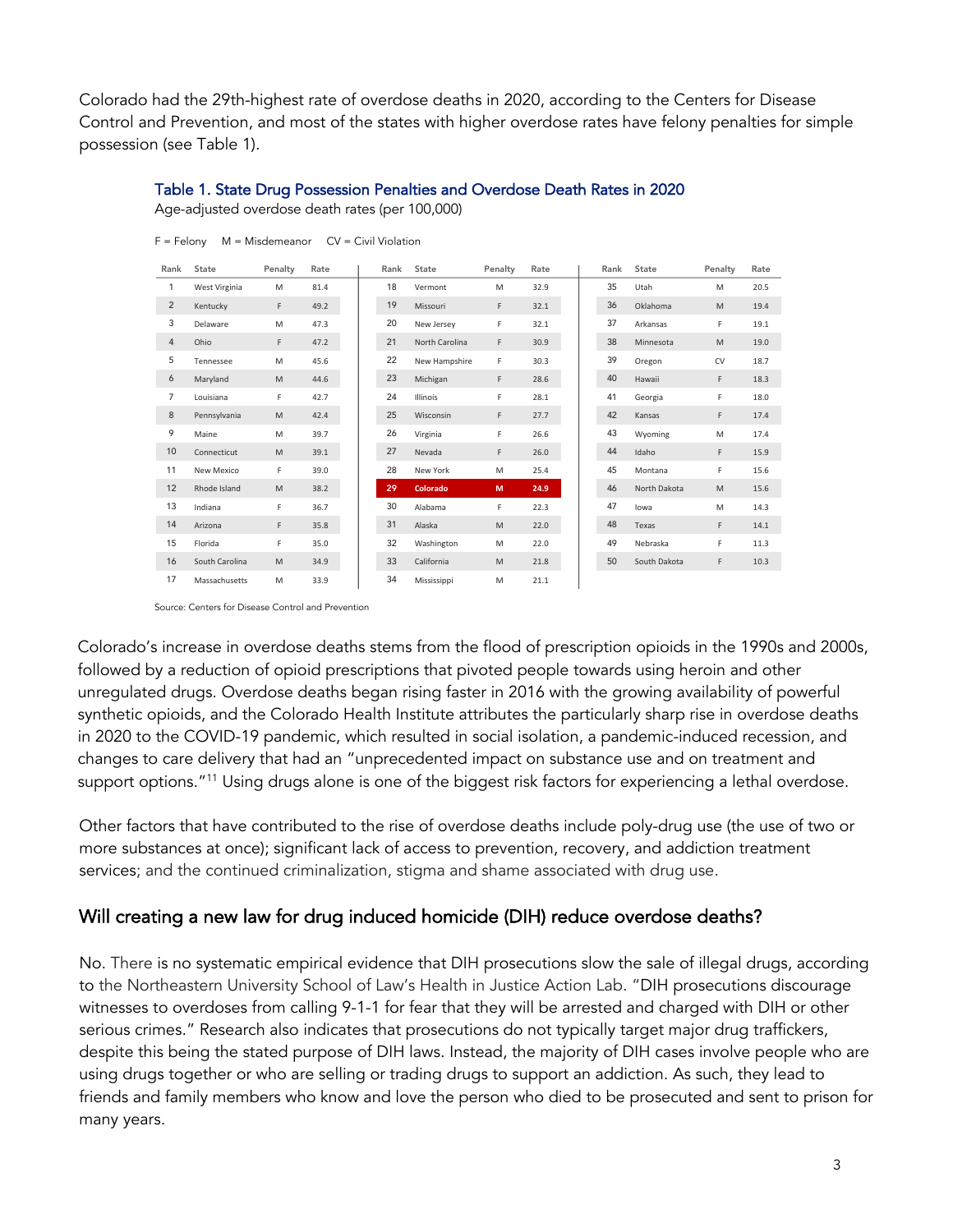Colorado had the 29th-highest rate of overdose deaths in 2020, according to the Centers for Disease Control and Prevention, and most of the states with higher overdose rates have felony penalties for simple possession (see Table 1).

#### Table 1. State Drug Possession Penalties and Overdose Death Rates in 2020

Age-adjusted overdose death rates (per 100,000)

| Rank           | State          | Penalty                                                                                                    | Rate | Rank | State          | Penalty | Rate | Rank | State        | Penalty | Rate |
|----------------|----------------|------------------------------------------------------------------------------------------------------------|------|------|----------------|---------|------|------|--------------|---------|------|
| 1              | West Virginia  | M                                                                                                          | 81.4 | 18   | Vermont        | M       | 32.9 | 35   | Utah         | M       | 20.5 |
| $\overline{2}$ | Kentucky       | F                                                                                                          | 49.2 | 19   | Missouri       | F.      | 32.1 | 36   | Oklahoma     | M       | 19.4 |
| 3              | Delaware       | M                                                                                                          | 47.3 | 20   | New Jersey     | F       | 32.1 | 37   | Arkansas     | F       | 19.1 |
| $\overline{4}$ | Ohio           | F.                                                                                                         | 47.2 | 21   | North Carolina | F       | 30.9 | 38   | Minnesota    | M       | 19.0 |
| 5              | Tennessee      | M                                                                                                          | 45.6 | 22   | New Hampshire  | F       | 30.3 | 39   | Oregon       | CV      | 18.7 |
| 6              | Maryland       | $\mathsf{M}% _{T}=\mathsf{M}_{T}\!\left( a,b\right) ,\ \mathsf{M}_{T}=\mathsf{M}_{T}\!\left( a,b\right) ,$ | 44.6 | 23   | Michigan       | F       | 28.6 | 40   | Hawaii       | F       | 18.3 |
| $\overline{7}$ | Louisiana      | F                                                                                                          | 42.7 | 24   | Illinois       | F       | 28.1 | 41   | Georgia      | F       | 18.0 |
| 8              | Pennsylvania   | M                                                                                                          | 42.4 | 25   | Wisconsin      | F.      | 27.7 | 42   | Kansas       | F       | 17.4 |
| 9              | Maine          | M                                                                                                          | 39.7 | 26   | Virginia       | F       | 26.6 | 43   | Wyoming      | M       | 17.4 |
| 10             | Connecticut    | M                                                                                                          | 39.1 | 27   | Nevada         | F       | 26.0 | 44   | Idaho        | F       | 15.9 |
| 11             | New Mexico     | F                                                                                                          | 39.0 | 28   | New York       | M       | 25.4 | 45   | Montana      | F       | 15.6 |
| 12             | Rhode Island   | $\mathsf{M}% _{T}=\mathsf{M}_{T}\!\left( a,b\right) ,\ \mathsf{M}_{T}=\mathsf{M}_{T}\!\left( a,b\right) ,$ | 38.2 | 29   | Colorado       | M       | 24.9 | 46   | North Dakota | M       | 15.6 |
| 13             | Indiana        | F                                                                                                          | 36.7 | 30   | Alabama        | F.      | 22.3 | 47   | lowa         | M       | 14.3 |
| 14             | Arizona        | F                                                                                                          | 35.8 | 31   | Alaska         | M       | 22.0 | 48   | Texas        | F       | 14.1 |
| 15             | Florida        | F                                                                                                          | 35.0 | 32   | Washington     | M       | 22.0 | 49   | Nebraska     | F       | 11.3 |
| 16             | South Carolina | M                                                                                                          | 34.9 | 33   | California     | M       | 21.8 | 50   | South Dakota | F       | 10.3 |

Mississippi M 21.1

 $F =$  Felony  $M =$  Misdemeanor  $CV =$  Civil Violation

Source: Centers for Disease Control and Prevention

Massachusetts M 33.9

Colorado's increase in overdose deaths stems from the flood of prescription opioids in the 1990s and 2000s, followed by a reduction of opioid prescriptions that pivoted people towards using heroin and other unregulated drugs. Overdose deaths began rising faster in 2016 with the growing availability of powerful synthetic opioids, and the Colorado Health Institute attributes the particularly sharp rise in overdose deaths in 2020 to the COVID-19 pandemic, which resulted in social isolation, a pandemic-induced recession, and changes to care delivery that had an "unprecedented impact on substance use and on treatment and support options."<sup>11</sup> Using drugs alone is one of the biggest risk factors for experiencing a lethal overdose.

Other factors that have contributed to the rise of overdose deaths include poly-drug use (the use of two or more substances at once); significant lack of access to prevention, recovery, and addiction treatment services; and the continued criminalization, stigma and shame associated with drug use.

#### Will creating a new law for drug induced homicide (DIH) reduce overdose deaths?

No. There is no systematic empirical evidence that DIH prosecutions slow the sale of illegal drugs, according to the Northeastern University School of Law's Health in Justice Action Lab. "DIH prosecutions discourage witnesses to overdoses from calling 9-1-1 for fear that they will be arrested and charged with DIH or other serious crimes." Research also indicates that prosecutions do not typically target major drug traffickers, despite this being the stated purpose of DIH laws. Instead, the majority of DIH cases involve people who are using drugs together or who are selling or trading drugs to support an addiction. As such, they lead to friends and family members who know and love the person who died to be prosecuted and sent to prison for many years.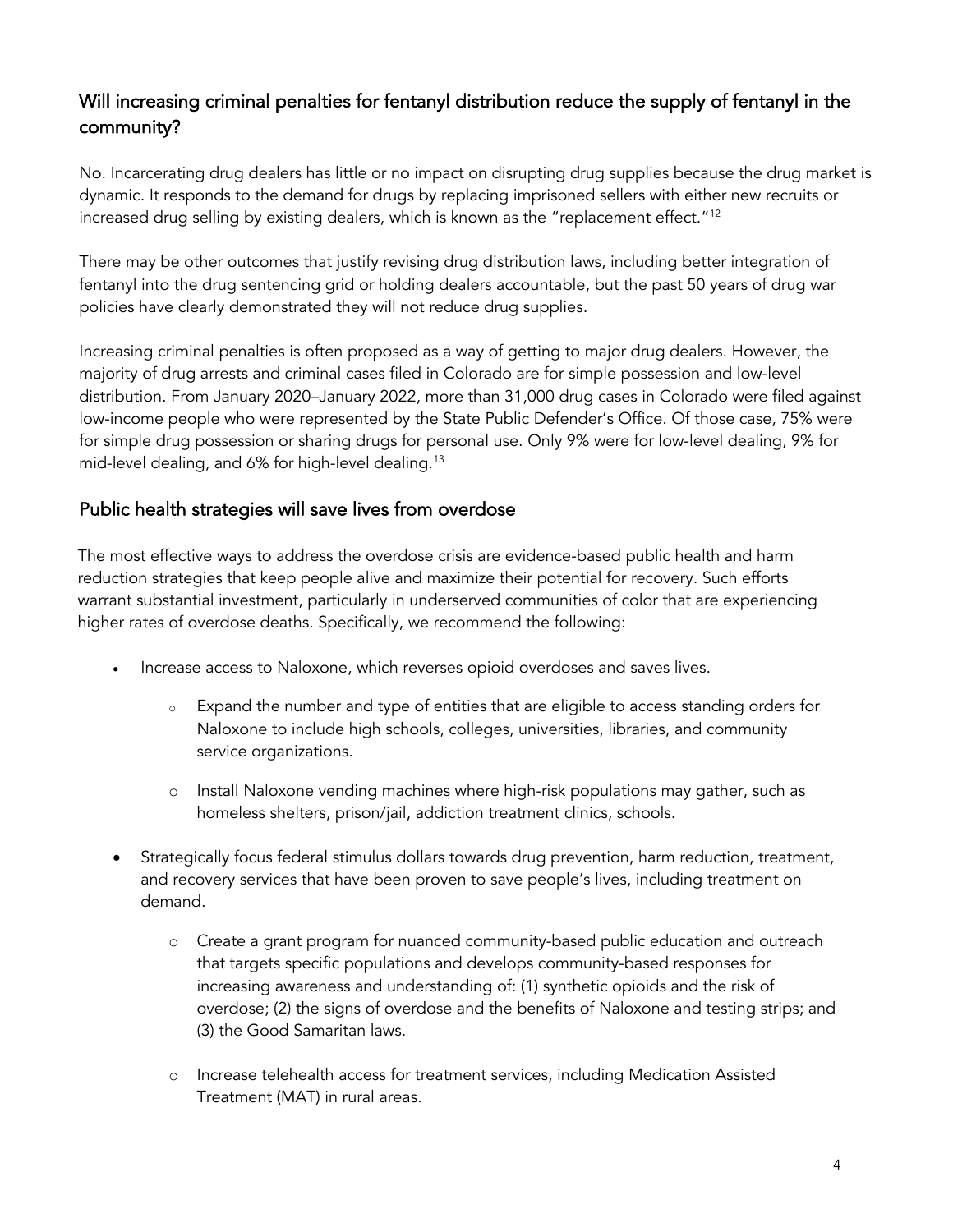# Will increasing criminal penalties for fentanyl distribution reduce the supply of fentanyl in the community?

No. Incarcerating drug dealers has little or no impact on disrupting drug supplies because the drug market is dynamic. It responds to the demand for drugs by replacing imprisoned sellers with either new recruits or increased drug selling by existing dealers, which is known as the "replacement effect."<sup>12</sup>

There may be other outcomes that justify revising drug distribution laws, including better integration of fentanyl into the drug sentencing grid or holding dealers accountable, but the past 50 years of drug war policies have clearly demonstrated they will not reduce drug supplies.

Increasing criminal penalties is often proposed as a way of getting to major drug dealers. However, the majority of drug arrests and criminal cases filed in Colorado are for simple possession and low-level distribution. From January 2020–January 2022, more than 31,000 drug cases in Colorado were filed against low-income people who were represented by the State Public Defender's Office. Of those case, 75% were for simple drug possession or sharing drugs for personal use. Only 9% were for low-level dealing, 9% for mid-level dealing, and 6% for high-level dealing.13

#### Public health strategies will save lives from overdose

The most effective ways to address the overdose crisis are evidence-based public health and harm reduction strategies that keep people alive and maximize their potential for recovery. Such efforts warrant substantial investment, particularly in underserved communities of color that are experiencing higher rates of overdose deaths. Specifically, we recommend the following:

- Increase access to Naloxone, which reverses opioid overdoses and saves lives.
	- o Expand the number and type of entities that are eligible to access standing orders for Naloxone to include high schools, colleges, universities, libraries, and community service organizations.
	- o Install Naloxone vending machines where high-risk populations may gather, such as homeless shelters, prison/jail, addiction treatment clinics, schools.
- Strategically focus federal stimulus dollars towards drug prevention, harm reduction, treatment, and recovery services that have been proven to save people's lives, including treatment on demand.
	- o Create a grant program for nuanced community-based public education and outreach that targets specific populations and develops community-based responses for increasing awareness and understanding of: (1) synthetic opioids and the risk of overdose; (2) the signs of overdose and the benefits of Naloxone and testing strips; and (3) the Good Samaritan laws.
	- o Increase telehealth access for treatment services, including Medication Assisted Treatment (MAT) in rural areas.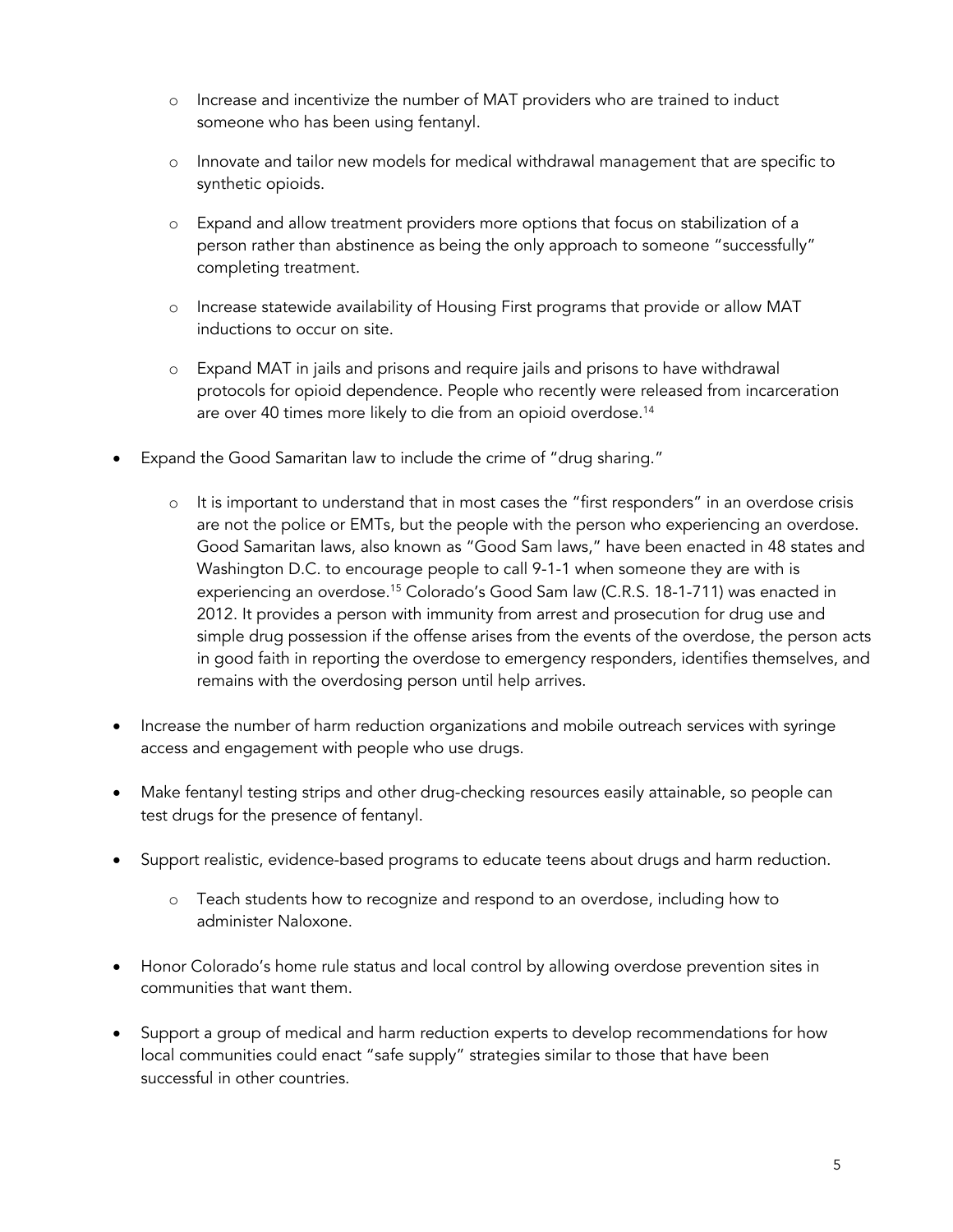- o Increase and incentivize the number of MAT providers who are trained to induct someone who has been using fentanyl.
- o Innovate and tailor new models for medical withdrawal management that are specific to synthetic opioids.
- o Expand and allow treatment providers more options that focus on stabilization of a person rather than abstinence as being the only approach to someone "successfully" completing treatment.
- o Increase statewide availability of Housing First programs that provide or allow MAT inductions to occur on site.
- o Expand MAT in jails and prisons and require jails and prisons to have withdrawal protocols for opioid dependence. People who recently were released from incarceration are over 40 times more likely to die from an opioid overdose. 14
- Expand the Good Samaritan law to include the crime of "drug sharing."
	- o It is important to understand that in most cases the "first responders" in an overdose crisis are not the police or EMTs, but the people with the person who experiencing an overdose. Good Samaritan laws, also known as "Good Sam laws," have been enacted in 48 states and Washington D.C. to encourage people to call 9-1-1 when someone they are with is experiencing an overdose. <sup>15</sup> Colorado's Good Sam law (C.R.S. 18-1-711) was enacted in 2012. It provides a person with immunity from arrest and prosecution for drug use and simple drug possession if the offense arises from the events of the overdose, the person acts in good faith in reporting the overdose to emergency responders, identifies themselves, and remains with the overdosing person until help arrives.
- Increase the number of harm reduction organizations and mobile outreach services with syringe access and engagement with people who use drugs.
- Make fentanyl testing strips and other drug-checking resources easily attainable, so people can test drugs for the presence of fentanyl.
- Support realistic, evidence-based programs to educate teens about drugs and harm reduction.
	- o Teach students how to recognize and respond to an overdose, including how to administer Naloxone.
- Honor Colorado's home rule status and local control by allowing overdose prevention sites in communities that want them.
- Support a group of medical and harm reduction experts to develop recommendations for how local communities could enact "safe supply" strategies similar to those that have been successful in other countries.